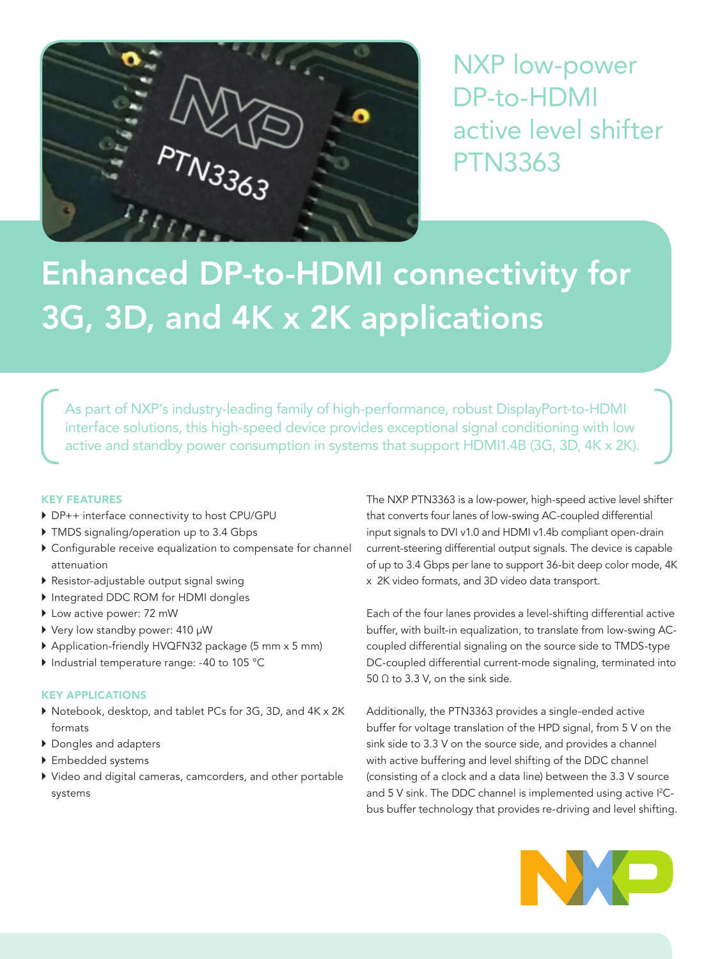

NXP low-power DP-to-HDMI active level shifter PTN3363

# Enhanced DP-to-HDMI connectivity for 3G, 3D, and 4K x 2K applications

As part of NXP's industry-leading family of high-performance, robust DisplayPort-to-HDMI interface solutions, this high-speed device provides exceptional signal conditioning with low active and standby power consumption in systems that support HDMI1.4B (3G, 3D, 4K x 2K).

# KEY FEATURES

- ▶ DP++ interface connectivity to host CPU/GPU
- $\blacktriangleright$  TMDS signaling/operation up to 3.4 Gbps
- $\triangleright$  Configurable receive equalization to compensate for channel attenuation
- $\blacktriangleright$  Resistor-adjustable output signal swing
- ` Integrated DDC ROM for HDMI dongles
- ▶ Low active power: 72 mW
- ▶ Very low standby power: 410 µW
- ` Application-friendly HVQFN32 package (5 mm x 5 mm)
- ` Industrial temperature range: -40 to 105 °C

# KEY APPLICATIONS

- ` Notebook, desktop, and tablet PCs for 3G, 3D, and 4K x 2K formats
- ` Dongles and adapters
- $\blacktriangleright$  Embedded systems
- ` Video and digital cameras, camcorders, and other portable systems

The NXP PTN3363 is a low-power, high-speed active level shifter that converts four lanes of low-swing AC-coupled differential input signals to DVI v1.0 and HDMI v1.4b compliant open-drain current-steering differential output signals. The device is capable of up to 3.4 Gbps per lane to support 36-bit deep color mode, 4K x 2K video formats, and 3D video data transport.

Each of the four lanes provides a level-shifting differential active buffer, with built-in equalization, to translate from low-swing ACcoupled differential signaling on the source side to TMDS-type DC-coupled differential current-mode signaling, terminated into 50  $\Omega$  to 3.3 V, on the sink side.

Additionally, the PTN3363 provides a single-ended active buffer for voltage translation of the HPD signal, from 5 V on the sink side to 3.3 V on the source side, and provides a channel with active buffering and level shifting of the DDC channel (consisting of a clock and a data line) between the 3.3 V source and 5 V sink. The DDC channel is implemented using active I<sup>2</sup>Cbus buffer technology that provides re-driving and level shifting.